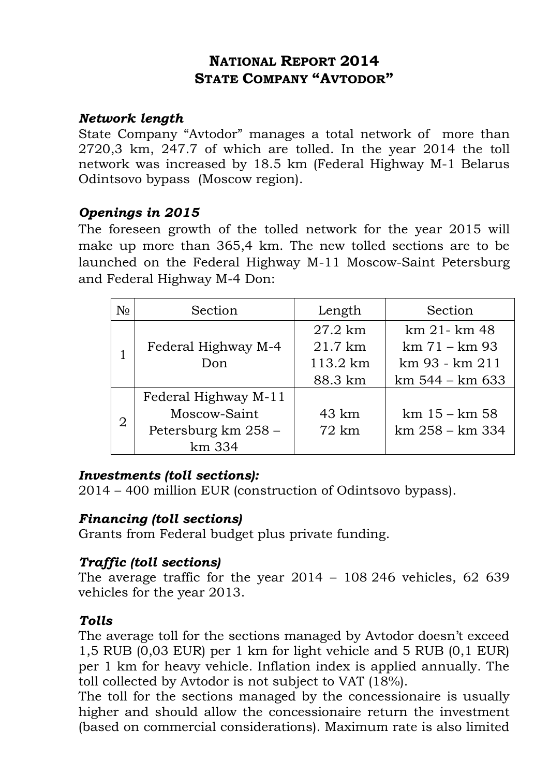# **NATIONAL REPORT 2014 STATE COMPANY "AVTODOR"**

## *Network length*

State Company "Avtodor" manages a total network of more than 2720,3 km, 247.7 of which are tolled. In the year 2014 the toll network was increased by 18.5 km (Federal Highway M-1 Belarus Odintsovo bypass (Moscow region).

## *Openings in 2015*

The foreseen growth of the tolled network for the year 2015 will make up more than 365,4 km. The new tolled sections are to be launched on the Federal Highway M-11 Moscow-Saint Petersburg and Federal Highway M-4 Don:

| $N_{\Omega}$   | Section              | Length            | Section           |
|----------------|----------------------|-------------------|-------------------|
|                |                      | 27.2 km           | $km 21 - km 48$   |
|                | Federal Highway M-4  | $21.7 \text{ km}$ | $km 71 - km 93$   |
|                | Don                  | 113.2 km          | km 93 - km 211    |
|                |                      | 88.3 km           | $km 544 - km 633$ |
| $\overline{2}$ | Federal Highway M-11 |                   |                   |
|                | Moscow-Saint         | 43 km             | $km 15 - km 58$   |
|                | Petersburg km 258 -  | 72 km             | km 258 – km 334   |
|                | km 334               |                   |                   |

## *Investments (toll sections):*

2014 – 400 million EUR (construction of Odintsovo bypass).

## *Financing (toll sections)*

Grants from Federal budget plus private funding.

## *Traffic (toll sections)*

The average traffic for the year 2014 – 108 246 vehicles, 62 639 vehicles for the year 2013.

## *Tolls*

The average toll for the sections managed by Avtodor doesn't exceed 1,5 RUB (0,03 EUR) per 1 km for light vehicle and 5 RUB (0,1 EUR) per 1 km for heavy vehicle. Inflation index is applied annually. The toll collected by Avtodor is not subject to VAT (18%).

The toll for the sections managed by the concessionaire is usually higher and should allow the concessionaire return the investment (based on commercial considerations). Maximum rate is also limited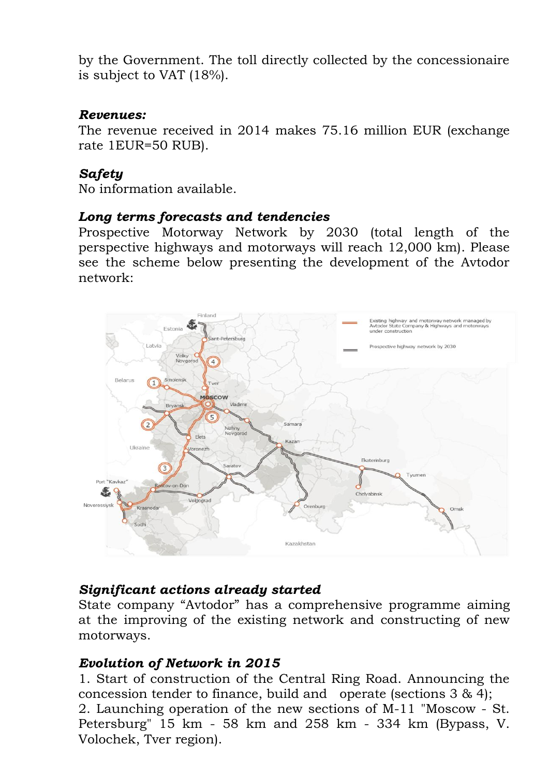by the Government. The toll directly collected by the concessionaire is subject to VAT (18%).

## *Revenues:*

The revenue received in 2014 makes 75.16 million EUR (exchange rate 1EUR=50 RUB).

## *Safety*

No information available.

## *Long terms forecasts and tendencies*

Prospective Motorway Network by 2030 (total length of the perspective highways and motorways will reach 12,000 km). Please see the scheme below presenting the development of the Avtodor network:



## *Significant actions already started*

State company "Avtodor" has a comprehensive programme aiming at the improving of the existing network and constructing of new motorways.

## *Evolution of Network in 2015*

1. Start of construction of the Central Ring Road. Announcing the concession tender to finance, build and operate (sections  $3 \& 4$ ); 2. Launching operation of the new sections of M-11 "Moscow - St. Petersburg" 15 km - 58 km and 258 km - 334 km (Bypass, V. Volochek, Tver region).